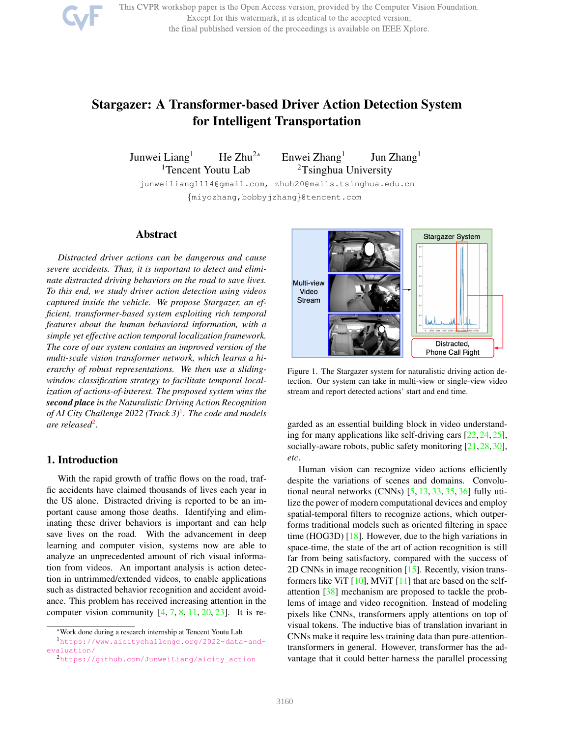

# Stargazer: A Transformer-based Driver Action Detection System for Intelligent Transportation

Junwei Liang<sup>1</sup> He Zhu<sup>2\*</sup> Enwei Zhang<sup>1</sup>

Jun Zhang<sup>1</sup> <sup>1</sup>Tencent Youtu Lab  $2T\sin\phi$  University

junweiliang1114@gmail.com, zhuh20@mails.tsinghua.edu.cn {miyozhang,bobbyjzhang}@tencent.com

## Abstract

*Distracted driver actions can be dangerous and cause severe accidents. Thus, it is important to detect and eliminate distracted driving behaviors on the road to save lives. To this end, we study driver action detection using videos captured inside the vehicle. We propose Stargazer, an efficient, transformer-based system exploiting rich temporal features about the human behavioral information, with a simple yet effective action temporal localization framework. The core of our system contains an improved version of the multi-scale vision transformer network, which learns a hierarchy of robust representations. We then use a slidingwindow classification strategy to facilitate temporal localization of actions-of-interest. The proposed system wins the second place in the Naturalistic Driving Action Recognition of AI City Challenge 2022 (Track 3)*<sup>1</sup> *. The code and models are released*<sup>2</sup> *.*

# 1. Introduction

With the rapid growth of traffic flows on the road, traffic accidents have claimed thousands of lives each year in the US alone. Distracted driving is reported to be an important cause among those deaths. Identifying and eliminating these driver behaviors is important and can help save lives on the road. With the advancement in deep learning and computer vision, systems now are able to analyze an unprecedented amount of rich visual information from videos. An important analysis is action detection in untrimmed/extended videos, to enable applications such as distracted behavior recognition and accident avoidance. This problem has received increasing attention in the computer vision community  $[4, 7, 8, 11, 20, 23]$ . It is re-



Figure 1. The Stargazer system for naturalistic driving action detection. Our system can take in multi-view or single-view video stream and report detected actions' start and end time.

garded as an essential building block in video understanding for many applications like self-driving cars [22, 24, 25], socially-aware robots, public safety monitoring [21,28,30], *etc*.

Human vision can recognize video actions efficiently despite the variations of scenes and domains. Convolutional neural networks (CNNs) [5, 13, 33, 35, 36] fully utilize the power of modern computational devices and employ spatial-temporal filters to recognize actions, which outperforms traditional models such as oriented filtering in space time (HOG3D) [18]. However, due to the high variations in space-time, the state of the art of action recognition is still far from being satisfactory, compared with the success of 2D CNNs in image recognition [15]. Recently, vision transformers like ViT  $[10]$ , MViT  $[11]$  that are based on the selfattention [38] mechanism are proposed to tackle the problems of image and video recognition. Instead of modeling pixels like CNNs, transformers apply attentions on top of visual tokens. The inductive bias of translation invariant in CNNs make it require less training data than pure-attentiontransformers in general. However, transformer has the advantage that it could better harness the parallel processing

<sup>\*</sup>Work done during a research internship at Tencent Youtu Lab.

<sup>1</sup>https://www.aicitychallenge.org/2022-data-andevaluation/

<sup>2</sup>https://github.com/JunweiLiang/aicity\_action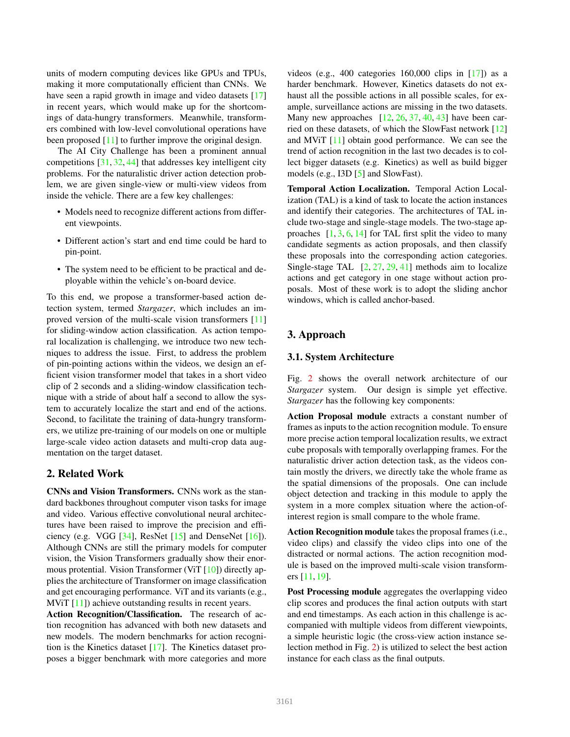units of modern computing devices like GPUs and TPUs, making it more computationally efficient than CNNs. We have seen a rapid growth in image and video datasets [17] in recent years, which would make up for the shortcomings of data-hungry transformers. Meanwhile, transformers combined with low-level convolutional operations have been proposed [11] to further improve the original design.

The AI City Challenge has been a prominent annual competitions [31, 32, 44] that addresses key intelligent city problems. For the naturalistic driver action detection problem, we are given single-view or multi-view videos from inside the vehicle. There are a few key challenges:

- Models need to recognize different actions from different viewpoints.
- Different action's start and end time could be hard to pin-point.
- The system need to be efficient to be practical and deployable within the vehicle's on-board device.

To this end, we propose a transformer-based action detection system, termed *Stargazer*, which includes an improved version of the multi-scale vision transformers [11] for sliding-window action classification. As action temporal localization is challenging, we introduce two new techniques to address the issue. First, to address the problem of pin-pointing actions within the videos, we design an efficient vision transformer model that takes in a short video clip of 2 seconds and a sliding-window classification technique with a stride of about half a second to allow the system to accurately localize the start and end of the actions. Second, to facilitate the training of data-hungry transformers, we utilize pre-training of our models on one or multiple large-scale video action datasets and multi-crop data augmentation on the target dataset.

## 2. Related Work

CNNs and Vision Transformers. CNNs work as the standard backbones throughout computer vison tasks for image and video. Various effective convolutional neural architectures have been raised to improve the precision and efficiency (e.g. VGG [34], ResNet [15] and DenseNet [16]). Although CNNs are still the primary models for computer vision, the Vision Transformers gradually show their enormous protential. Vision Transformer (ViT [10]) directly applies the architecture of Transformer on image classification and get encouraging performance. ViT and its variants (e.g., MV<sub>i</sub>T [11]) achieve outstanding results in recent years.

Action Recognition/Classification. The research of action recognition has advanced with both new datasets and new models. The modern benchmarks for action recognition is the Kinetics dataset [17]. The Kinetics dataset proposes a bigger benchmark with more categories and more videos (e.g., 400 categories  $160,000$  clips in [17]) as a harder benchmark. However, Kinetics datasets do not exhaust all the possible actions in all possible scales, for example, surveillance actions are missing in the two datasets. Many new approaches  $[12, 26, 37, 40, 43]$  have been carried on these datasets, of which the SlowFast network [12] and MViT [11] obtain good performance. We can see the trend of action recognition in the last two decades is to collect bigger datasets (e.g. Kinetics) as well as build bigger models (e.g., I3D [5] and SlowFast).

Temporal Action Localization. Temporal Action Localization (TAL) is a kind of task to locate the action instances and identify their categories. The architectures of TAL include two-stage and single-stage models. The two-stage approaches  $[1, 3, 6, 14]$  for TAL first split the video to many candidate segments as action proposals, and then classify these proposals into the corresponding action categories. Single-stage TAL  $[2, 27, 29, 41]$  methods aim to localize actions and get category in one stage without action proposals. Most of these work is to adopt the sliding anchor windows, which is called anchor-based.

# 3. Approach

# 3.1. System Architecture

Fig. 2 shows the overall network architecture of our *Stargazer* system. Our design is simple yet effective. *Stargazer* has the following key components:

Action Proposal module extracts a constant number of frames as inputs to the action recognition module. To ensure more precise action temporal localization results, we extract cube proposals with temporally overlapping frames. For the naturalistic driver action detection task, as the videos contain mostly the drivers, we directly take the whole frame as the spatial dimensions of the proposals. One can include object detection and tracking in this module to apply the system in a more complex situation where the action-ofinterest region is small compare to the whole frame.

Action Recognition module takes the proposal frames (i.e., video clips) and classify the video clips into one of the distracted or normal actions. The action recognition module is based on the improved multi-scale vision transformers [11, 19].

Post Processing module aggregates the overlapping video clip scores and produces the final action outputs with start and end timestamps. As each action in this challenge is accompanied with multiple videos from different viewpoints, a simple heuristic logic (the cross-view action instance selection method in Fig. 2) is utilized to select the best action instance for each class as the final outputs.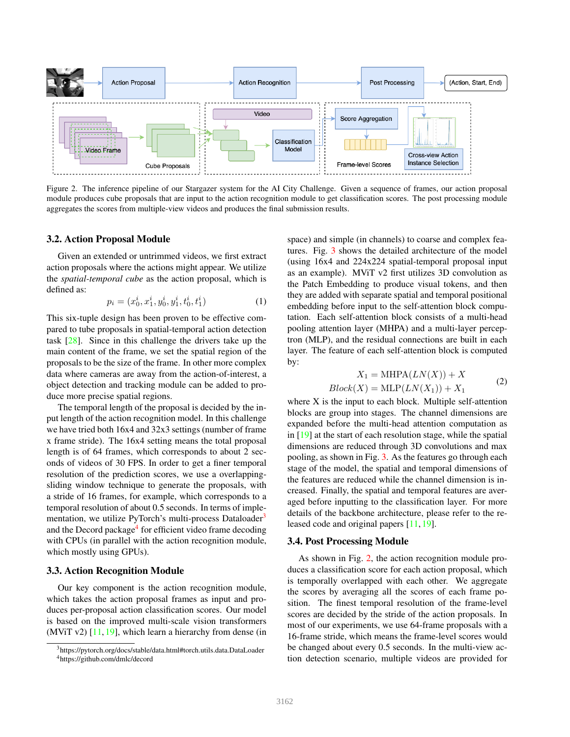

Figure 2. The inference pipeline of our Stargazer system for the AI City Challenge. Given a sequence of frames, our action proposal module produces cube proposals that are input to the action recognition module to get classification scores. The post processing module aggregates the scores from multiple-view videos and produces the final submission results.

#### 3.2. Action Proposal Module

Given an extended or untrimmed videos, we first extract action proposals where the actions might appear. We utilize the *spatial-temporal cube* as the action proposal, which is defined as:

$$
p_i = (x_0^i, x_1^i, y_0^i, y_1^i, t_0^i, t_1^i)
$$
 (1)

This six-tuple design has been proven to be effective compared to tube proposals in spatial-temporal action detection task [28]. Since in this challenge the drivers take up the main content of the frame, we set the spatial region of the proposals to be the size of the frame. In other more complex data where cameras are away from the action-of-interest, a object detection and tracking module can be added to produce more precise spatial regions.

The temporal length of the proposal is decided by the input length of the action recognition model. In this challenge we have tried both 16x4 and 32x3 settings (number of frame x frame stride). The 16x4 setting means the total proposal length is of 64 frames, which corresponds to about 2 seconds of videos of 30 FPS. In order to get a finer temporal resolution of the prediction scores, we use a overlappingsliding window technique to generate the proposals, with a stride of 16 frames, for example, which corresponds to a temporal resolution of about 0.5 seconds. In terms of implementation, we utilize PyTorch's multi-process Dataloader<sup>3</sup> and the Decord package<sup>4</sup> for efficient video frame decoding with CPUs (in parallel with the action recognition module, which mostly using GPUs).

#### 3.3. Action Recognition Module

Our key component is the action recognition module, which takes the action proposal frames as input and produces per-proposal action classification scores. Our model is based on the improved multi-scale vision transformers (MViT v2)  $[11, 19]$ , which learn a hierarchy from dense (in

space) and simple (in channels) to coarse and complex features. Fig. 3 shows the detailed architecture of the model (using 16x4 and 224x224 spatial-temporal proposal input as an example). MViT v2 first utilizes 3D convolution as the Patch Embedding to produce visual tokens, and then they are added with separate spatial and temporal positional embedding before input to the self-attention block computation. Each self-attention block consists of a multi-head pooling attention layer (MHPA) and a multi-layer perceptron (MLP), and the residual connections are built in each layer. The feature of each self-attention block is computed by:

$$
X_1 = \text{MHPA}(LN(X)) + X
$$
  

$$
Block(X) = \text{MLP}(LN(X_1)) + X_1
$$
 (2)

where X is the input to each block. Multiple self-attention blocks are group into stages. The channel dimensions are expanded before the multi-head attention computation as in [19] at the start of each resolution stage, while the spatial dimensions are reduced through 3D convolutions and max pooling, as shown in Fig. 3. As the features go through each stage of the model, the spatial and temporal dimensions of the features are reduced while the channel dimension is increased. Finally, the spatial and temporal features are averaged before inputting to the classification layer. For more details of the backbone architecture, please refer to the released code and original papers [11, 19].

#### 3.4. Post Processing Module

As shown in Fig. 2, the action recognition module produces a classification score for each action proposal, which is temporally overlapped with each other. We aggregate the scores by averaging all the scores of each frame position. The finest temporal resolution of the frame-level scores are decided by the stride of the action proposals. In most of our experiments, we use 64-frame proposals with a 16-frame stride, which means the frame-level scores would be changed about every 0.5 seconds. In the multi-view action detection scenario, multiple videos are provided for

<sup>3</sup>https://pytorch.org/docs/stable/data.html#torch.utils.data.DataLoader <sup>4</sup>https://github.com/dmlc/decord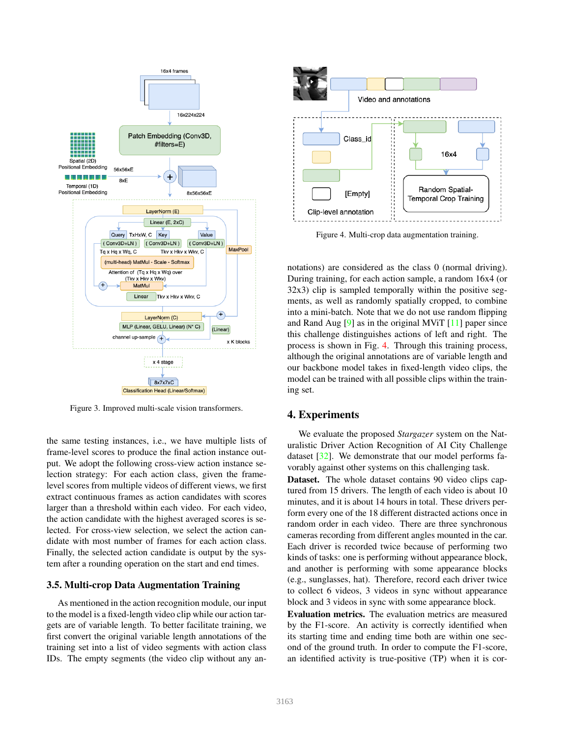

Figure 3. Improved multi-scale vision transformers.

the same testing instances, i.e., we have multiple lists of frame-level scores to produce the final action instance output. We adopt the following cross-view action instance selection strategy: For each action class, given the framelevel scores from multiple videos of different views, we first extract continuous frames as action candidates with scores larger than a threshold within each video. For each video, the action candidate with the highest averaged scores is selected. For cross-view selection, we select the action candidate with most number of frames for each action class. Finally, the selected action candidate is output by the system after a rounding operation on the start and end times.

#### 3.5. Multi-crop Data Augmentation Training

As mentioned in the action recognition module, our input to the model is a fixed-length video clip while our action targets are of variable length. To better facilitate training, we first convert the original variable length annotations of the training set into a list of video segments with action class IDs. The empty segments (the video clip without any an-



Figure 4. Multi-crop data augmentation training.

notations) are considered as the class 0 (normal driving). During training, for each action sample, a random 16x4 (or 32x3) clip is sampled temporally within the positive segments, as well as randomly spatially cropped, to combine into a mini-batch. Note that we do not use random flipping and Rand Aug  $[9]$  as in the original MViT  $[11]$  paper since this challenge distinguishes actions of left and right. The process is shown in Fig. 4. Through this training process, although the original annotations are of variable length and our backbone model takes in fixed-length video clips, the model can be trained with all possible clips within the training set.

## 4. Experiments

We evaluate the proposed *Stargazer* system on the Naturalistic Driver Action Recognition of AI City Challenge dataset [32]. We demonstrate that our model performs favorably against other systems on this challenging task.

Dataset. The whole dataset contains 90 video clips captured from 15 drivers. The length of each video is about 10 minutes, and it is about 14 hours in total. These drivers perform every one of the 18 different distracted actions once in random order in each video. There are three synchronous cameras recording from different angles mounted in the car. Each driver is recorded twice because of performing two kinds of tasks: one is performing without appearance block, and another is performing with some appearance blocks (e.g., sunglasses, hat). Therefore, record each driver twice to collect 6 videos, 3 videos in sync without appearance block and 3 videos in sync with some appearance block.

Evaluation metrics. The evaluation metrics are measured by the F1-score. An activity is correctly identified when its starting time and ending time both are within one second of the ground truth. In order to compute the F1-score, an identified activity is true-positive (TP) when it is cor-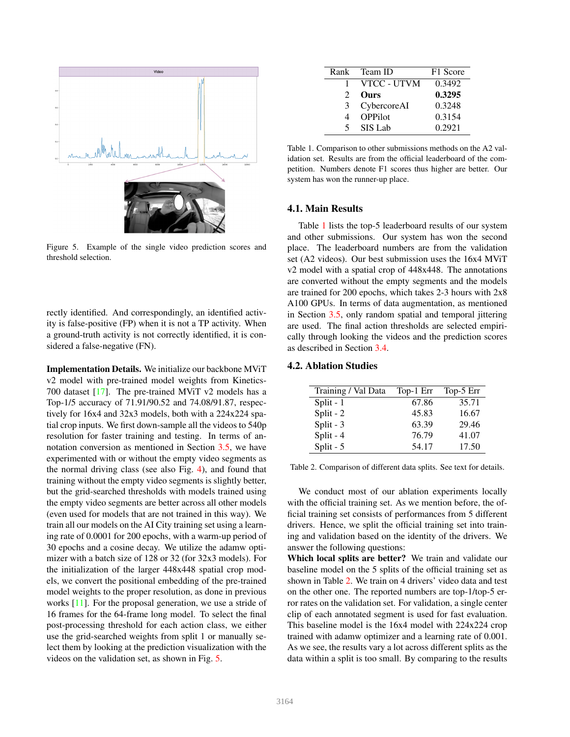

Figure 5. Example of the single video prediction scores and threshold selection.

rectly identified. And correspondingly, an identified activity is false-positive (FP) when it is not a TP activity. When a ground-truth activity is not correctly identified, it is considered a false-negative (FN).

Implementation Details. We initialize our backbone MViT v2 model with pre-trained model weights from Kinetics-700 dataset  $[17]$ . The pre-trained MViT v2 models has a Top-1/5 accuracy of 71.91/90.52 and 74.08/91.87, respectively for 16x4 and 32x3 models, both with a 224x224 spatial crop inputs. We first down-sample all the videos to 540p resolution for faster training and testing. In terms of annotation conversion as mentioned in Section 3.5, we have experimented with or without the empty video segments as the normal driving class (see also Fig. 4), and found that training without the empty video segments is slightly better, but the grid-searched thresholds with models trained using the empty video segments are better across all other models (even used for models that are not trained in this way). We train all our models on the AI City training set using a learning rate of 0.0001 for 200 epochs, with a warm-up period of 30 epochs and a cosine decay. We utilize the adamw optimizer with a batch size of 128 or 32 (for 32x3 models). For the initialization of the larger 448x448 spatial crop models, we convert the positional embedding of the pre-trained model weights to the proper resolution, as done in previous works [11]. For the proposal generation, we use a stride of 16 frames for the 64-frame long model. To select the final post-processing threshold for each action class, we either use the grid-searched weights from split 1 or manually select them by looking at the prediction visualization with the videos on the validation set, as shown in Fig. 5.

|                             | Rank Team ID   | F1 Score |
|-----------------------------|----------------|----------|
|                             | VTCC - UTVM    | 0.3492   |
| $\mathcal{D}_{\mathcal{L}}$ | <b>Ours</b>    | 0.3295   |
| 3                           | CybercoreAI    | 0.3248   |
|                             | <b>OPPilot</b> | 0.3154   |
| 5                           | SIS Lab        | 0.2921   |

Table 1. Comparison to other submissions methods on the A2 validation set. Results are from the official leaderboard of the competition. Numbers denote F1 scores thus higher are better. Our system has won the runner-up place.

#### 4.1. Main Results

Table 1 lists the top-5 leaderboard results of our system and other submissions. Our system has won the second place. The leaderboard numbers are from the validation set (A2 videos). Our best submission uses the 16x4 MViT v2 model with a spatial crop of 448x448. The annotations are converted without the empty segments and the models are trained for 200 epochs, which takes 2-3 hours with 2x8 A100 GPUs. In terms of data augmentation, as mentioned in Section 3.5, only random spatial and temporal jittering are used. The final action thresholds are selected empirically through looking the videos and the prediction scores as described in Section 3.4.

#### 4.2. Ablation Studies

| Training / Val Data | Top-1 Err | Top-5 Err |
|---------------------|-----------|-----------|
| Split $-1$          | 67.86     | 35.71     |
| Split - $2$         | 45.83     | 16.67     |
| Split - $3$         | 63.39     | 29.46     |
| Split $-4$          | 76.79     | 41.07     |
| Split - $5$         | 54.17     | 17.50     |

Table 2. Comparison of different data splits. See text for details.

We conduct most of our ablation experiments locally with the official training set. As we mention before, the official training set consists of performances from 5 different drivers. Hence, we split the official training set into training and validation based on the identity of the drivers. We answer the following questions:

Which local splits are better? We train and validate our baseline model on the 5 splits of the official training set as shown in Table 2. We train on 4 drivers' video data and test on the other one. The reported numbers are top-1/top-5 error rates on the validation set. For validation, a single center clip of each annotated segment is used for fast evaluation. This baseline model is the 16x4 model with 224x224 crop trained with adamw optimizer and a learning rate of 0.001. As we see, the results vary a lot across different splits as the data within a split is too small. By comparing to the results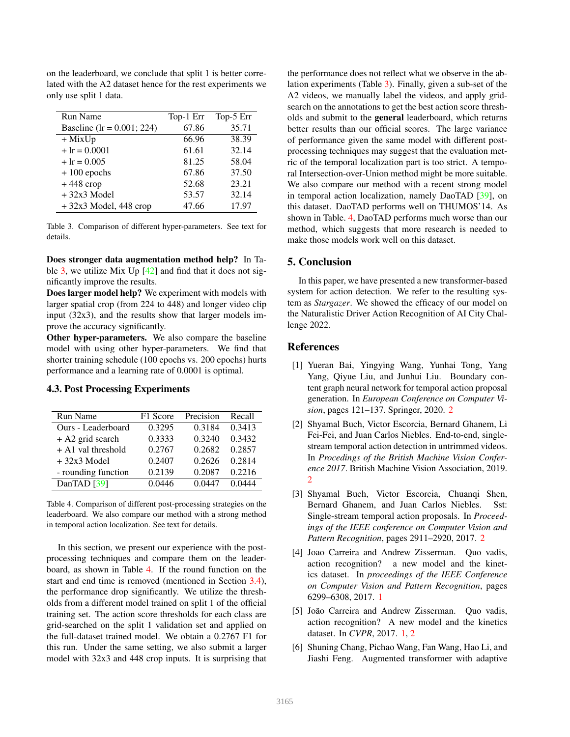| <b>Run Name</b>                | Top-1 Err | Top-5 Err |
|--------------------------------|-----------|-----------|
| Baseline ( $lr = 0.001; 224$ ) | 67.86     | 35.71     |
| $+$ MixUp                      | 66.96     | 38.39     |
| $+Ir = 0.0001$                 | 61.61     | 32.14     |
| $+Ir = 0.005$                  | 81.25     | 58.04     |
| $+100$ epochs                  | 67.86     | 37.50     |
| $+448$ crop                    | 52.68     | 23.21     |
| $+32x3$ Model                  | 53.57     | 32.14     |
| $+32x3$ Model, 448 crop        | 47.66     | 17.97     |

on the leaderboard, we conclude that split 1 is better correlated with the A2 dataset hence for the rest experiments we only use split 1 data.

Table 3. Comparison of different hyper-parameters. See text for details.

Does stronger data augmentation method help? In Table  $3$ , we utilize Mix Up  $[42]$  and find that it does not significantly improve the results.

Does larger model help? We experiment with models with larger spatial crop (from 224 to 448) and longer video clip input (32x3), and the results show that larger models improve the accuracy significantly.

Other hyper-parameters. We also compare the baseline model with using other hyper-parameters. We find that shorter training schedule (100 epochs vs. 200 epochs) hurts performance and a learning rate of 0.0001 is optimal.

# 4.3. Post Processing Experiments

| <b>Run Name</b>     | F1 Score | Precision | Recall |
|---------------------|----------|-----------|--------|
| Ours - Leaderboard  | 0.3295   | 0.3184    | 0.3413 |
| $+$ A2 grid search  | 0.3333   | 0.3240    | 0.3432 |
| + A1 val threshold  | 0.2767   | 0.2682    | 0.2857 |
| $+32x3$ Model       | 0.2407   | 0.2626    | 0.2814 |
| - rounding function | 0.2139   | 0.2087    | 0.2216 |
| DanTAD [39]         | 0.0446   | 0.0447    | 0.0444 |

Table 4. Comparison of different post-processing strategies on the leaderboard. We also compare our method with a strong method in temporal action localization. See text for details.

In this section, we present our experience with the postprocessing techniques and compare them on the leaderboard, as shown in Table 4. If the round function on the start and end time is removed (mentioned in Section 3.4), the performance drop significantly. We utilize the thresholds from a different model trained on split 1 of the official training set. The action score thresholds for each class are grid-searched on the split 1 validation set and applied on the full-dataset trained model. We obtain a 0.2767 F1 for this run. Under the same setting, we also submit a larger model with 32x3 and 448 crop inputs. It is surprising that

the performance does not reflect what we observe in the ablation experiments (Table 3). Finally, given a sub-set of the A2 videos, we manually label the videos, and apply gridsearch on the annotations to get the best action score thresholds and submit to the general leaderboard, which returns better results than our official scores. The large variance of performance given the same model with different postprocessing techniques may suggest that the evaluation metric of the temporal localization part is too strict. A temporal Intersection-over-Union method might be more suitable. We also compare our method with a recent strong model in temporal action localization, namely DaoTAD [39], on this dataset. DaoTAD performs well on THUMOS'14. As shown in Table. 4, DaoTAD performs much worse than our method, which suggests that more research is needed to make those models work well on this dataset.

## 5. Conclusion

In this paper, we have presented a new transformer-based system for action detection. We refer to the resulting system as *Stargazer*. We showed the efficacy of our model on the Naturalistic Driver Action Recognition of AI City Challenge 2022.

### References

- [1] Yueran Bai, Yingying Wang, Yunhai Tong, Yang Yang, Qiyue Liu, and Junhui Liu. Boundary content graph neural network for temporal action proposal generation. In *European Conference on Computer Vision*, pages 121–137. Springer, 2020. 2
- [2] Shyamal Buch, Victor Escorcia, Bernard Ghanem, Li Fei-Fei, and Juan Carlos Niebles. End-to-end, singlestream temporal action detection in untrimmed videos. In *Procedings of the British Machine Vision Conference 2017*. British Machine Vision Association, 2019. 2
- [3] Shyamal Buch, Victor Escorcia, Chuanqi Shen, Bernard Ghanem, and Juan Carlos Niebles. Sst: Single-stream temporal action proposals. In *Proceedings of the IEEE conference on Computer Vision and Pattern Recognition*, pages 2911–2920, 2017. 2
- [4] Joao Carreira and Andrew Zisserman. Quo vadis, action recognition? a new model and the kinetics dataset. In *proceedings of the IEEE Conference on Computer Vision and Pattern Recognition*, pages 6299–6308, 2017. 1
- [5] João Carreira and Andrew Zisserman. Quo vadis, action recognition? A new model and the kinetics dataset. In *CVPR*, 2017. 1, 2
- [6] Shuning Chang, Pichao Wang, Fan Wang, Hao Li, and Jiashi Feng. Augmented transformer with adaptive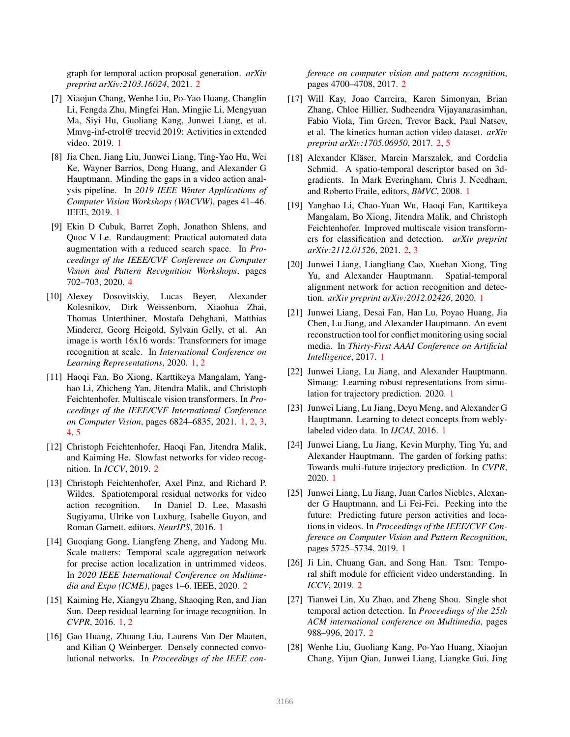graph for temporal action proposal generation. *arXiv preprint arXiv:2103.16024*, 2021. 2

- [7] Xiaojun Chang, Wenhe Liu, Po-Yao Huang, Changlin Li, Fengda Zhu, Mingfei Han, Mingjie Li, Mengyuan Ma, Siyi Hu, Guoliang Kang, Junwei Liang, et al. Mmvg-inf-etrol@ trecvid 2019: Activities in extended video. 2019. 1
- [8] Jia Chen, Jiang Liu, Junwei Liang, Ting-Yao Hu, Wei Ke, Wayner Barrios, Dong Huang, and Alexander G Hauptmann. Minding the gaps in a video action analysis pipeline. In *2019 IEEE Winter Applications of Computer Vision Workshops (WACVW)*, pages 41–46. IEEE, 2019. 1
- [9] Ekin D Cubuk, Barret Zoph, Jonathon Shlens, and Quoc V Le. Randaugment: Practical automated data augmentation with a reduced search space. In *Proceedings of the IEEE/CVF Conference on Computer Vision and Pattern Recognition Workshops*, pages 702–703, 2020. 4
- [10] Alexey Dosovitskiy, Lucas Beyer, Alexander Kolesnikov, Dirk Weissenborn, Xiaohua Zhai, Thomas Unterthiner, Mostafa Dehghani, Matthias Minderer, Georg Heigold, Sylvain Gelly, et al. An image is worth 16x16 words: Transformers for image recognition at scale. In *International Conference on Learning Representations*, 2020. 1, 2
- [11] Haoqi Fan, Bo Xiong, Karttikeya Mangalam, Yanghao Li, Zhicheng Yan, Jitendra Malik, and Christoph Feichtenhofer. Multiscale vision transformers. In *Proceedings of the IEEE/CVF International Conference on Computer Vision*, pages 6824–6835, 2021. 1, 2, 3, 4, 5
- [12] Christoph Feichtenhofer, Haoqi Fan, Jitendra Malik, and Kaiming He. Slowfast networks for video recognition. In *ICCV*, 2019. 2
- [13] Christoph Feichtenhofer, Axel Pinz, and Richard P. Wildes. Spatiotemporal residual networks for video action recognition. In Daniel D. Lee, Masashi Sugiyama, Ulrike von Luxburg, Isabelle Guyon, and Roman Garnett, editors, *NeurIPS*, 2016. 1
- [14] Guoqiang Gong, Liangfeng Zheng, and Yadong Mu. Scale matters: Temporal scale aggregation network for precise action localization in untrimmed videos. In *2020 IEEE International Conference on Multimedia and Expo (ICME)*, pages 1–6. IEEE, 2020. 2
- [15] Kaiming He, Xiangyu Zhang, Shaoqing Ren, and Jian Sun. Deep residual learning for image recognition. In *CVPR*, 2016. 1, 2
- [16] Gao Huang, Zhuang Liu, Laurens Van Der Maaten, and Kilian Q Weinberger. Densely connected convolutional networks. In *Proceedings of the IEEE con-*

*ference on computer vision and pattern recognition*, pages 4700–4708, 2017. 2

- [17] Will Kay, Joao Carreira, Karen Simonyan, Brian Zhang, Chloe Hillier, Sudheendra Vijayanarasimhan, Fabio Viola, Tim Green, Trevor Back, Paul Natsev, et al. The kinetics human action video dataset. *arXiv preprint arXiv:1705.06950*, 2017. 2, 5
- [18] Alexander Kläser, Marcin Marszalek, and Cordelia Schmid. A spatio-temporal descriptor based on 3dgradients. In Mark Everingham, Chris J. Needham, and Roberto Fraile, editors, *BMVC*, 2008. 1
- [19] Yanghao Li, Chao-Yuan Wu, Haoqi Fan, Karttikeya Mangalam, Bo Xiong, Jitendra Malik, and Christoph Feichtenhofer. Improved multiscale vision transformers for classification and detection. *arXiv preprint arXiv:2112.01526*, 2021. 2, 3
- [20] Junwei Liang, Liangliang Cao, Xuehan Xiong, Ting Yu, and Alexander Hauptmann. Spatial-temporal alignment network for action recognition and detection. *arXiv preprint arXiv:2012.02426*, 2020. 1
- [21] Junwei Liang, Desai Fan, Han Lu, Poyao Huang, Jia Chen, Lu Jiang, and Alexander Hauptmann. An event reconstruction tool for conflict monitoring using social media. In *Thirty-First AAAI Conference on Artificial Intelligence*, 2017. 1
- [22] Junwei Liang, Lu Jiang, and Alexander Hauptmann. Simaug: Learning robust representations from simulation for trajectory prediction. 2020. 1
- [23] Junwei Liang, Lu Jiang, Deyu Meng, and Alexander G Hauptmann. Learning to detect concepts from weblylabeled video data. In *IJCAI*, 2016. 1
- [24] Junwei Liang, Lu Jiang, Kevin Murphy, Ting Yu, and Alexander Hauptmann. The garden of forking paths: Towards multi-future trajectory prediction. In *CVPR*, 2020. 1
- [25] Junwei Liang, Lu Jiang, Juan Carlos Niebles, Alexander G Hauptmann, and Li Fei-Fei. Peeking into the future: Predicting future person activities and locations in videos. In *Proceedings of the IEEE/CVF Conference on Computer Vision and Pattern Recognition*, pages 5725–5734, 2019. 1
- [26] Ji Lin, Chuang Gan, and Song Han. Tsm: Temporal shift module for efficient video understanding. In *ICCV*, 2019. 2
- [27] Tianwei Lin, Xu Zhao, and Zheng Shou. Single shot temporal action detection. In *Proceedings of the 25th ACM international conference on Multimedia*, pages 988–996, 2017. 2
- [28] Wenhe Liu, Guoliang Kang, Po-Yao Huang, Xiaojun Chang, Yijun Qian, Junwei Liang, Liangke Gui, Jing